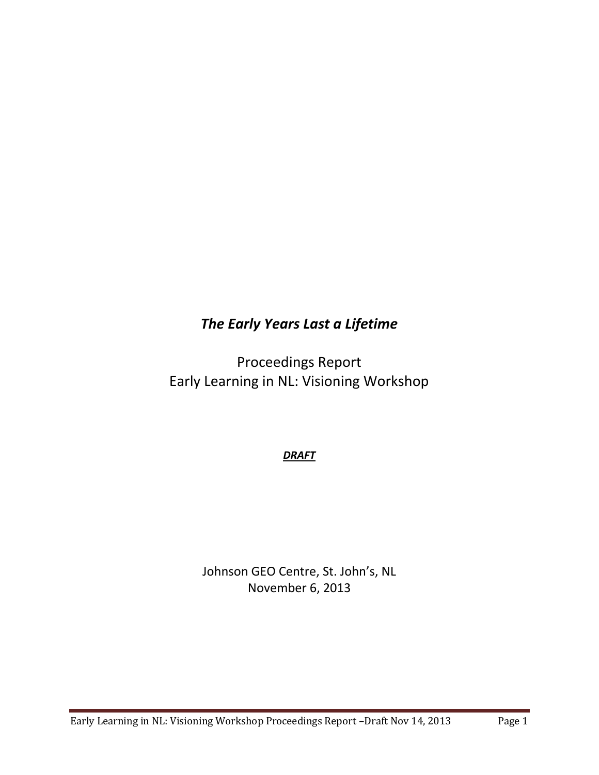## *The Early Years Last a Lifetime*

Proceedings Report Early Learning in NL: Visioning Workshop

*DRAFT*

Johnson GEO Centre, St. John's, NL November 6, 2013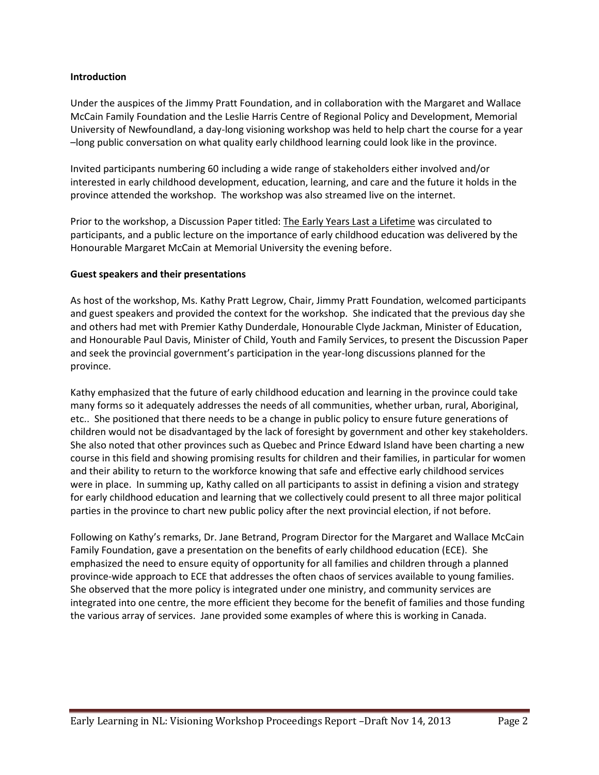## **Introduction**

Under the auspices of the Jimmy Pratt Foundation, and in collaboration with the Margaret and Wallace McCain Family Foundation and the Leslie Harris Centre of Regional Policy and Development, Memorial University of Newfoundland, a day-long visioning workshop was held to help chart the course for a year –long public conversation on what quality early childhood learning could look like in the province.

Invited participants numbering 60 including a wide range of stakeholders either involved and/or interested in early childhood development, education, learning, and care and the future it holds in the province attended the workshop. The workshop was also streamed live on the internet.

Prior to the workshop, a Discussion Paper titled: The Early Years Last a Lifetime was circulated to participants, and a public lecture on the importance of early childhood education was delivered by the Honourable Margaret McCain at Memorial University the evening before.

## **Guest speakers and their presentations**

As host of the workshop, Ms. Kathy Pratt Legrow, Chair, Jimmy Pratt Foundation, welcomed participants and guest speakers and provided the context for the workshop. She indicated that the previous day she and others had met with Premier Kathy Dunderdale, Honourable Clyde Jackman, Minister of Education, and Honourable Paul Davis, Minister of Child, Youth and Family Services, to present the Discussion Paper and seek the provincial government's participation in the year-long discussions planned for the province.

Kathy emphasized that the future of early childhood education and learning in the province could take many forms so it adequately addresses the needs of all communities, whether urban, rural, Aboriginal, etc.. She positioned that there needs to be a change in public policy to ensure future generations of children would not be disadvantaged by the lack of foresight by government and other key stakeholders. She also noted that other provinces such as Quebec and Prince Edward Island have been charting a new course in this field and showing promising results for children and their families, in particular for women and their ability to return to the workforce knowing that safe and effective early childhood services were in place. In summing up, Kathy called on all participants to assist in defining a vision and strategy for early childhood education and learning that we collectively could present to all three major political parties in the province to chart new public policy after the next provincial election, if not before.

Following on Kathy's remarks, Dr. Jane Betrand, Program Director for the Margaret and Wallace McCain Family Foundation, gave a presentation on the benefits of early childhood education (ECE). She emphasized the need to ensure equity of opportunity for all families and children through a planned province-wide approach to ECE that addresses the often chaos of services available to young families. She observed that the more policy is integrated under one ministry, and community services are integrated into one centre, the more efficient they become for the benefit of families and those funding the various array of services. Jane provided some examples of where this is working in Canada.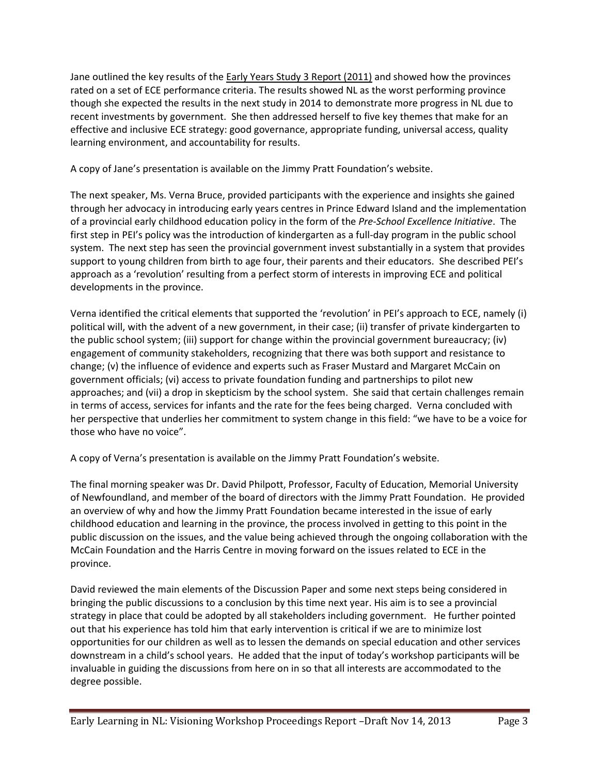Jane outlined the key results of the Early Years Study 3 Report (2011) and showed how the provinces rated on a set of ECE performance criteria. The results showed NL as the worst performing province though she expected the results in the next study in 2014 to demonstrate more progress in NL due to recent investments by government. She then addressed herself to five key themes that make for an effective and inclusive ECE strategy: good governance, appropriate funding, universal access, quality learning environment, and accountability for results.

A copy of Jane's presentation is available on the Jimmy Pratt Foundation's website.

The next speaker, Ms. Verna Bruce, provided participants with the experience and insights she gained through her advocacy in introducing early years centres in Prince Edward Island and the implementation of a provincial early childhood education policy in the form of the *Pre-School Excellence Initiative*. The first step in PEI's policy was the introduction of kindergarten as a full-day program in the public school system. The next step has seen the provincial government invest substantially in a system that provides support to young children from birth to age four, their parents and their educators. She described PEI's approach as a 'revolution' resulting from a perfect storm of interests in improving ECE and political developments in the province.

Verna identified the critical elements that supported the 'revolution' in PEI's approach to ECE, namely (i) political will, with the advent of a new government, in their case; (ii) transfer of private kindergarten to the public school system; (iii) support for change within the provincial government bureaucracy; (iv) engagement of community stakeholders, recognizing that there was both support and resistance to change; (v) the influence of evidence and experts such as Fraser Mustard and Margaret McCain on government officials; (vi) access to private foundation funding and partnerships to pilot new approaches; and (vii) a drop in skepticism by the school system. She said that certain challenges remain in terms of access, services for infants and the rate for the fees being charged. Verna concluded with her perspective that underlies her commitment to system change in this field: "we have to be a voice for those who have no voice".

A copy of Verna's presentation is available on the Jimmy Pratt Foundation's website.

The final morning speaker was Dr. David Philpott, Professor, Faculty of Education, Memorial University of Newfoundland, and member of the board of directors with the Jimmy Pratt Foundation. He provided an overview of why and how the Jimmy Pratt Foundation became interested in the issue of early childhood education and learning in the province, the process involved in getting to this point in the public discussion on the issues, and the value being achieved through the ongoing collaboration with the McCain Foundation and the Harris Centre in moving forward on the issues related to ECE in the province.

David reviewed the main elements of the Discussion Paper and some next steps being considered in bringing the public discussions to a conclusion by this time next year. His aim is to see a provincial strategy in place that could be adopted by all stakeholders including government. He further pointed out that his experience has told him that early intervention is critical if we are to minimize lost opportunities for our children as well as to lessen the demands on special education and other services downstream in a child's school years. He added that the input of today's workshop participants will be invaluable in guiding the discussions from here on in so that all interests are accommodated to the degree possible.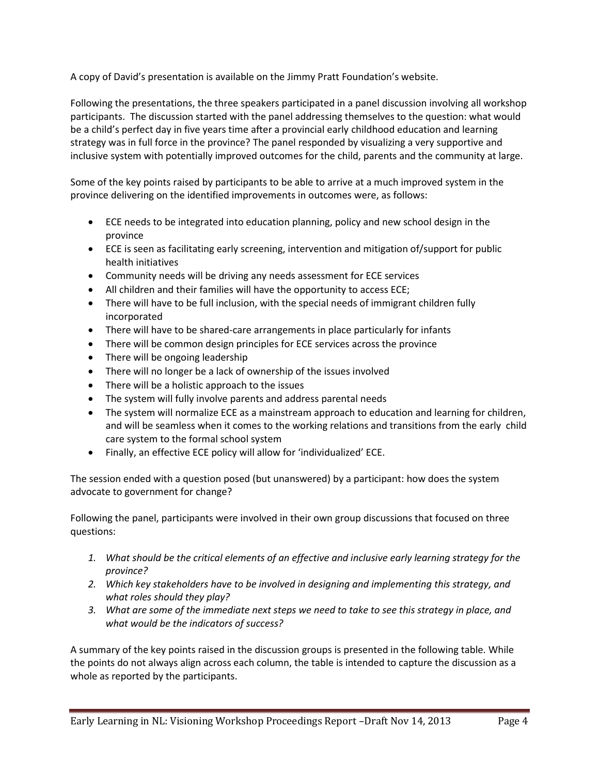A copy of David's presentation is available on the Jimmy Pratt Foundation's website.

Following the presentations, the three speakers participated in a panel discussion involving all workshop participants. The discussion started with the panel addressing themselves to the question: what would be a child's perfect day in five years time after a provincial early childhood education and learning strategy was in full force in the province? The panel responded by visualizing a very supportive and inclusive system with potentially improved outcomes for the child, parents and the community at large.

Some of the key points raised by participants to be able to arrive at a much improved system in the province delivering on the identified improvements in outcomes were, as follows:

- ECE needs to be integrated into education planning, policy and new school design in the province
- ECE is seen as facilitating early screening, intervention and mitigation of/support for public health initiatives
- Community needs will be driving any needs assessment for ECE services
- All children and their families will have the opportunity to access ECE;
- There will have to be full inclusion, with the special needs of immigrant children fully incorporated
- There will have to be shared-care arrangements in place particularly for infants
- There will be common design principles for ECE services across the province
- There will be ongoing leadership
- There will no longer be a lack of ownership of the issues involved
- There will be a holistic approach to the issues
- The system will fully involve parents and address parental needs
- The system will normalize ECE as a mainstream approach to education and learning for children, and will be seamless when it comes to the working relations and transitions from the early child care system to the formal school system
- Finally, an effective ECE policy will allow for 'individualized' ECE.

The session ended with a question posed (but unanswered) by a participant: how does the system advocate to government for change?

Following the panel, participants were involved in their own group discussions that focused on three questions:

- *1. What should be the critical elements of an effective and inclusive early learning strategy for the province?*
- *2. Which key stakeholders have to be involved in designing and implementing this strategy, and what roles should they play?*
- *3. What are some of the immediate next steps we need to take to see this strategy in place, and what would be the indicators of success?*

A summary of the key points raised in the discussion groups is presented in the following table. While the points do not always align across each column, the table is intended to capture the discussion as a whole as reported by the participants.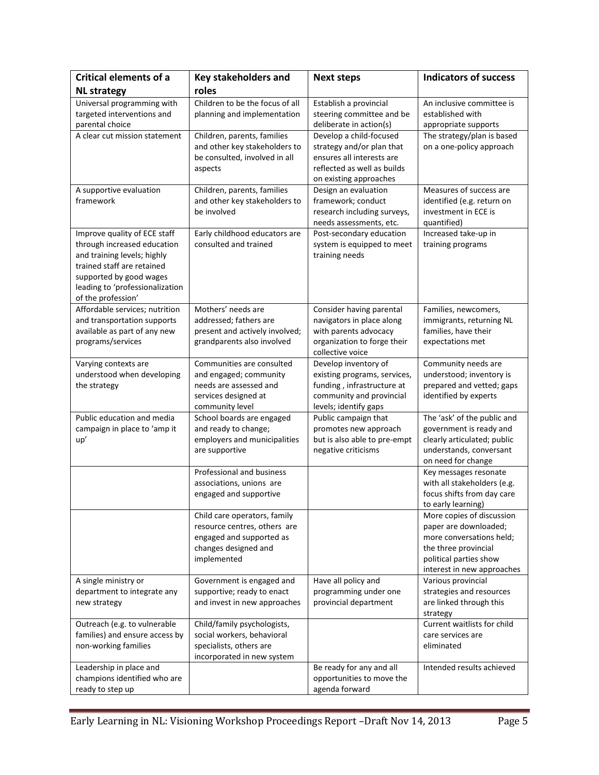| <b>Critical elements of a</b>                                                                                                                                                                                | <b>Key stakeholders and</b>                                                                                                     | <b>Next steps</b>                                                                                                                          | <b>Indicators of success</b>                                                                                                                                   |
|--------------------------------------------------------------------------------------------------------------------------------------------------------------------------------------------------------------|---------------------------------------------------------------------------------------------------------------------------------|--------------------------------------------------------------------------------------------------------------------------------------------|----------------------------------------------------------------------------------------------------------------------------------------------------------------|
| <b>NL strategy</b>                                                                                                                                                                                           | roles                                                                                                                           |                                                                                                                                            |                                                                                                                                                                |
| Universal programming with<br>targeted interventions and<br>parental choice                                                                                                                                  | Children to be the focus of all<br>planning and implementation                                                                  | Establish a provincial<br>steering committee and be<br>deliberate in action(s)                                                             | An inclusive committee is<br>established with<br>appropriate supports                                                                                          |
| A clear cut mission statement                                                                                                                                                                                | Children, parents, families<br>and other key stakeholders to<br>be consulted, involved in all<br>aspects                        | Develop a child-focused<br>strategy and/or plan that<br>ensures all interests are<br>reflected as well as builds<br>on existing approaches | The strategy/plan is based<br>on a one-policy approach                                                                                                         |
| A supportive evaluation<br>framework                                                                                                                                                                         | Children, parents, families<br>and other key stakeholders to<br>be involved                                                     | Design an evaluation<br>framework; conduct<br>research including surveys,<br>needs assessments, etc.                                       | Measures of success are<br>identified (e.g. return on<br>investment in ECE is<br>quantified)                                                                   |
| Improve quality of ECE staff<br>through increased education<br>and training levels; highly<br>trained staff are retained<br>supported by good wages<br>leading to 'professionalization<br>of the profession' | Early childhood educators are<br>consulted and trained                                                                          | Post-secondary education<br>system is equipped to meet<br>training needs                                                                   | Increased take-up in<br>training programs                                                                                                                      |
| Affordable services; nutrition<br>and transportation supports<br>available as part of any new<br>programs/services                                                                                           | Mothers' needs are<br>addressed; fathers are<br>present and actively involved;<br>grandparents also involved                    | Consider having parental<br>navigators in place along<br>with parents advocacy<br>organization to forge their<br>collective voice          | Families, newcomers,<br>immigrants, returning NL<br>families, have their<br>expectations met                                                                   |
| Varying contexts are<br>understood when developing<br>the strategy                                                                                                                                           | Communities are consulted<br>and engaged; community<br>needs are assessed and<br>services designed at<br>community level        | Develop inventory of<br>existing programs, services,<br>funding, infrastructure at<br>community and provincial<br>levels; identify gaps    | Community needs are<br>understood; inventory is<br>prepared and vetted; gaps<br>identified by experts                                                          |
| Public education and media<br>campaign in place to 'amp it<br>up'                                                                                                                                            | School boards are engaged<br>and ready to change;<br>employers and municipalities<br>are supportive                             | Public campaign that<br>promotes new approach<br>but is also able to pre-empt<br>negative criticisms                                       | The 'ask' of the public and<br>government is ready and<br>clearly articulated; public<br>understands, conversant<br>on need for change                         |
|                                                                                                                                                                                                              | Professional and business<br>associations, unions are<br>engaged and supportive                                                 |                                                                                                                                            | Key messages resonate<br>with all stakeholders (e.g.<br>focus shifts from day care<br>to early learning)                                                       |
|                                                                                                                                                                                                              | Child care operators, family<br>resource centres, others are<br>engaged and supported as<br>changes designed and<br>implemented |                                                                                                                                            | More copies of discussion<br>paper are downloaded;<br>more conversations held;<br>the three provincial<br>political parties show<br>interest in new approaches |
| A single ministry or<br>department to integrate any<br>new strategy                                                                                                                                          | Government is engaged and<br>supportive; ready to enact<br>and invest in new approaches                                         | Have all policy and<br>programming under one<br>provincial department                                                                      | Various provincial<br>strategies and resources<br>are linked through this<br>strategy                                                                          |
| Outreach (e.g. to vulnerable<br>families) and ensure access by<br>non-working families                                                                                                                       | Child/family psychologists,<br>social workers, behavioral<br>specialists, others are<br>incorporated in new system              |                                                                                                                                            | Current waitlists for child<br>care services are<br>eliminated                                                                                                 |
| Leadership in place and<br>champions identified who are<br>ready to step up                                                                                                                                  |                                                                                                                                 | Be ready for any and all<br>opportunities to move the<br>agenda forward                                                                    | Intended results achieved                                                                                                                                      |